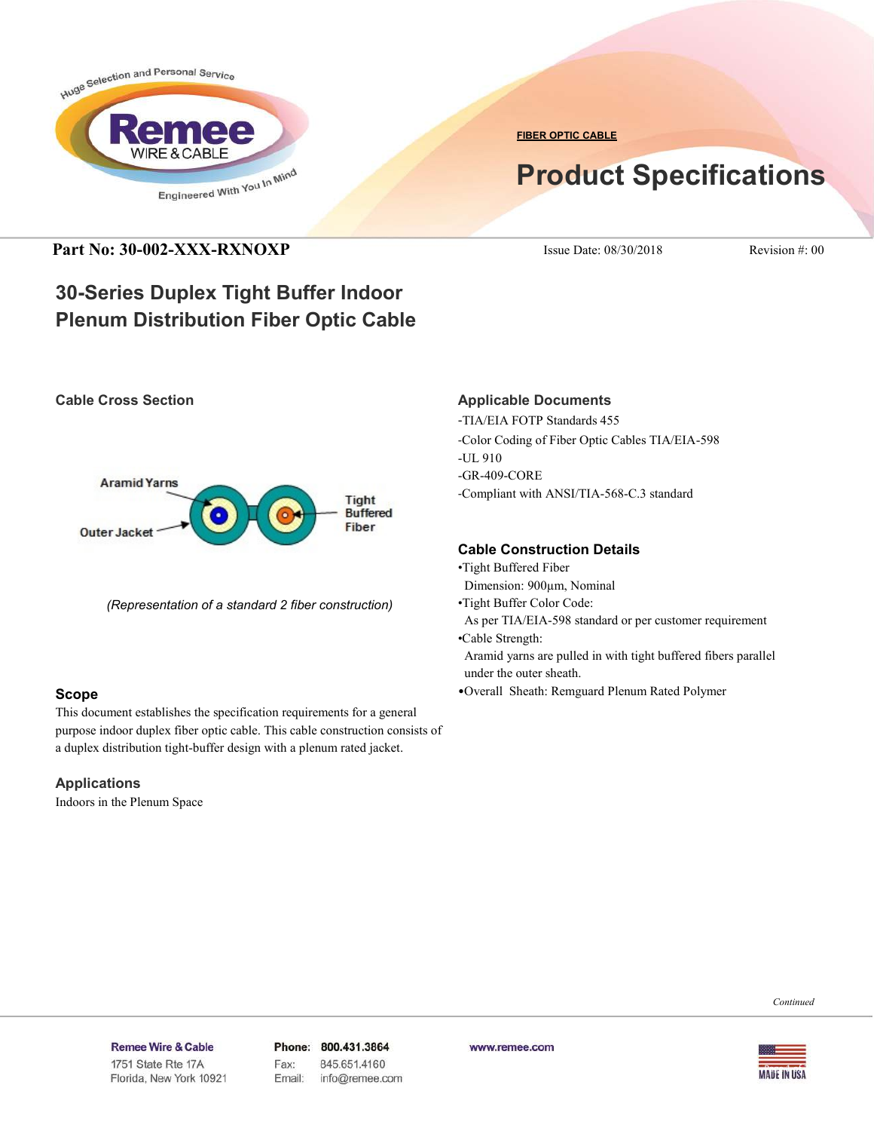

**FIBER OPTIC CABLE**

# **Product Specifications**

### **Part No: 30-002-XXX-RXNOXP** Issue Date: 08/30/2018 Revision #: 00

## **30-Series Duplex Tight Buffer Indoor Plenum Distribution Fiber Optic Cable**

#### **Cable Cross Section**



*(Representation of a standard 2 fiber construction)*

#### **Scope**

This document establishes the specification requirements for a general purpose indoor duplex fiber optic cable. This cable construction consists of a duplex distribution tight-buffer design with a plenum rated jacket.

#### **Applications**

Indoors in the Plenum Space

#### **Applicable Documents**

-TIA/EIA FOTP Standards 455 -Color Coding of Fiber Optic Cables TIA/EIA-598 -UL 910 -GR-409-CORE -Compliant with ANSI/TIA-568-C.3 standard

#### **Cable Construction Details**

- •Tight Buffered Fiber
- Dimension: 900µm, Nominal
- •Tight Buffer Color Code:

 As per TIA/EIA-598 standard or per customer requirement •Cable Strength:

- Aramid yarns are pulled in with tight buffered fibers parallel under the outer sheath.
- •Overall Sheath: Remguard Plenum Rated Polymer

*Continued*

#### Remee Wire & Cable Issue No.: 05

Florida, New York 10921

Phone: 800.431.3864 Fax: 845.651.4160 Email: info@remee.com www.remee.com

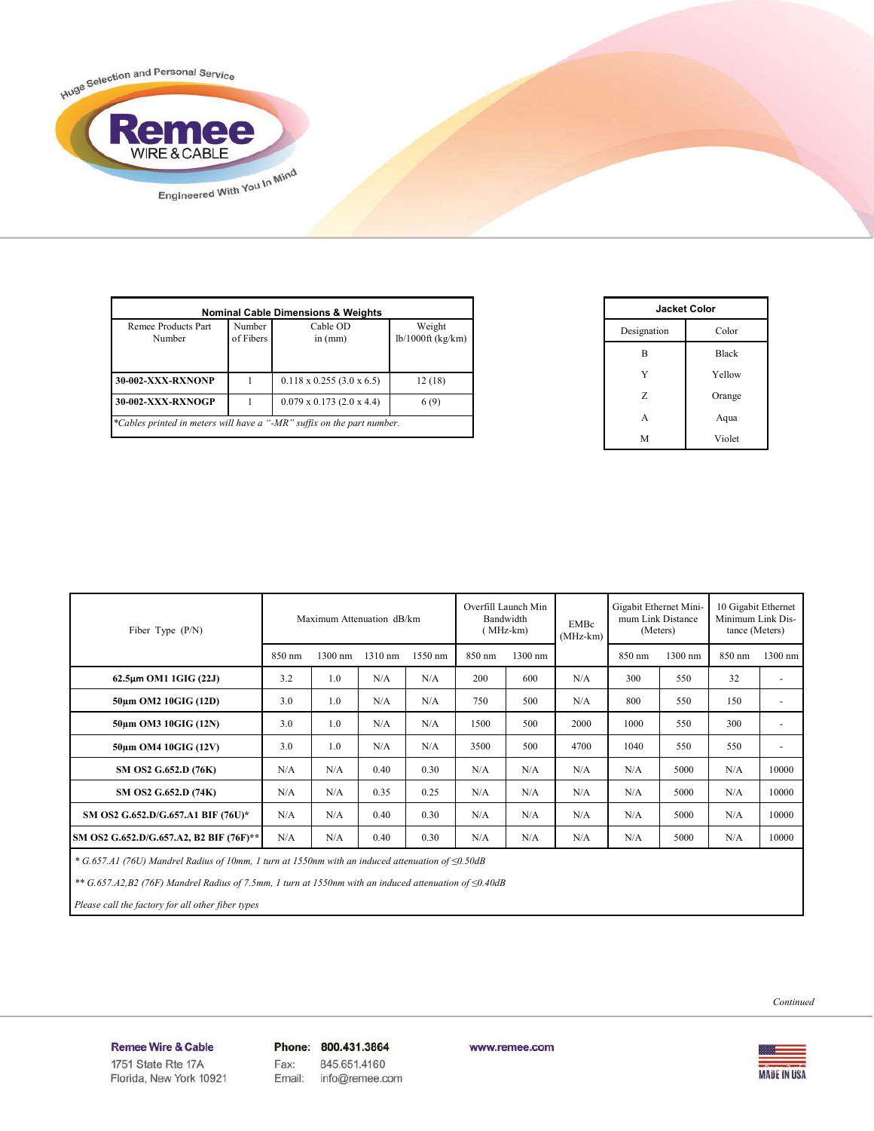

| Remee Products Part<br>Number | Number<br>of Fibers | Cable OD<br>in $(mm)$            | Weight<br>$lb/1000ft$ (kg/km) |
|-------------------------------|---------------------|----------------------------------|-------------------------------|
| <b>30-002-XXX-RXNONP</b>      |                     | $0.118 \times 0.255$ (3.0 x 6.5) | 12(18)                        |
| 30-002-XXX-RXNOGP             |                     | $0.079 \times 0.173$ (2.0 x 4.4) | 6(9)                          |

| <b>Jacket Color</b> |              |  |  |
|---------------------|--------------|--|--|
| Designation         | Color        |  |  |
| B                   | <b>Black</b> |  |  |
| Y                   | Yellow       |  |  |
| Z                   | Orange       |  |  |
| A                   | Aqua         |  |  |
| М                   | Violet       |  |  |

| Maximum Attenuation dB/km<br>Fiber Type $(P/N)$ |        |         | Overfill Launch Min<br>Bandwidth<br>(MHz-km) |         | EMBc<br>$(MHz-km)$ | Gigabit Ethernet Mini-<br>mum Link Distance<br>(Meters) |      | 10 Gigabit Ethernet<br>Minimum Link Dis-<br>tance (Meters) |         |        |                          |
|-------------------------------------------------|--------|---------|----------------------------------------------|---------|--------------------|---------------------------------------------------------|------|------------------------------------------------------------|---------|--------|--------------------------|
|                                                 | 850 nm | 1300 nm | $1310$ nm                                    | 1550 nm | 850 nm             | 1300 nm                                                 |      | 850 nm                                                     | 1300 nm | 850 nm | 1300 nm                  |
| $62.5\mu m$ OM1 1GIG (22J)                      | 3.2    | 1.0     | N/A                                          | N/A     | 200                | 600                                                     | N/A  | 300                                                        | 550     | 32     | ٠                        |
| 50um OM2 10GIG (12D)                            | 3.0    | 1.0     | N/A                                          | N/A     | 750                | 500                                                     | N/A  | 800                                                        | 550     | 150    | $\overline{\phantom{a}}$ |
| 50um OM3 10GIG (12N)                            | 3.0    | 1.0     | N/A                                          | N/A     | 1500               | 500                                                     | 2000 | 1000                                                       | 550     | 300    | $\overline{\phantom{a}}$ |
| 50um OM4 10GIG (12V)                            | 3.0    | 1.0     | N/A                                          | N/A     | 3500               | 500                                                     | 4700 | 1040                                                       | 550     | 550    | ٠                        |
| SM OS2 G.652.D (76K)                            | N/A    | N/A     | 0.40                                         | 0.30    | N/A                | N/A                                                     | N/A  | N/A                                                        | 5000    | N/A    | 10000                    |
| SM OS2 G.652.D (74K)                            | N/A    | N/A     | 0.35                                         | 0.25    | N/A                | N/A                                                     | N/A  | N/A                                                        | 5000    | N/A    | 10000                    |
| SM OS2 G.652.D/G.657.A1 BIF (76U)*              | N/A    | N/A     | 0.40                                         | 0.30    | N/A                | N/A                                                     | N/A  | N/A                                                        | 5000    | N/A    | 10000                    |
| SM OS2 G.652.D/G.657.A2, B2 BIF (76F)**         | N/A    | N/A     | 0.40                                         | 0.30    | N/A                | N/A                                                     | N/A  | N/A                                                        | 5000    | N/A    | 10000                    |

 *\* G.657.A1 (76U) Mandrel Radius of 10mm, 1 turn at 1550nm with an induced attenuation of ≤0.50dB*

 *\*\* G.657.A2,B2 (76F) Mandrel Radius of 7.5mm, 1 turn at 1550nm with an induced attenuation of ≤0.40dB*

 *Please call the factory for all other fiber types*

Remee Wire & Cable Issue No.: 05 Florida, New York 10921 Phone: 800.431.3864 Fax: 845.651.4160 info@remee.com Email:

www.remee.com